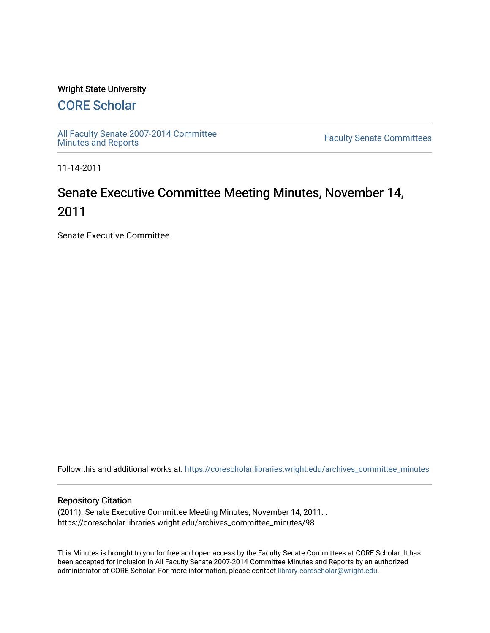# Wright State University

# [CORE Scholar](https://corescholar.libraries.wright.edu/)

[All Faculty Senate 2007-2014 Committee](https://corescholar.libraries.wright.edu/archives_committee_minutes)

**Faculty Senate Committees** 

11-14-2011

# Senate Executive Committee Meeting Minutes, November 14, 2011

Senate Executive Committee

Follow this and additional works at: [https://corescholar.libraries.wright.edu/archives\\_committee\\_minutes](https://corescholar.libraries.wright.edu/archives_committee_minutes?utm_source=corescholar.libraries.wright.edu%2Farchives_committee_minutes%2F98&utm_medium=PDF&utm_campaign=PDFCoverPages) 

#### Repository Citation

(2011). Senate Executive Committee Meeting Minutes, November 14, 2011. . https://corescholar.libraries.wright.edu/archives\_committee\_minutes/98

This Minutes is brought to you for free and open access by the Faculty Senate Committees at CORE Scholar. It has been accepted for inclusion in All Faculty Senate 2007-2014 Committee Minutes and Reports by an authorized administrator of CORE Scholar. For more information, please contact [library-corescholar@wright.edu.](mailto:library-corescholar@wright.edu)